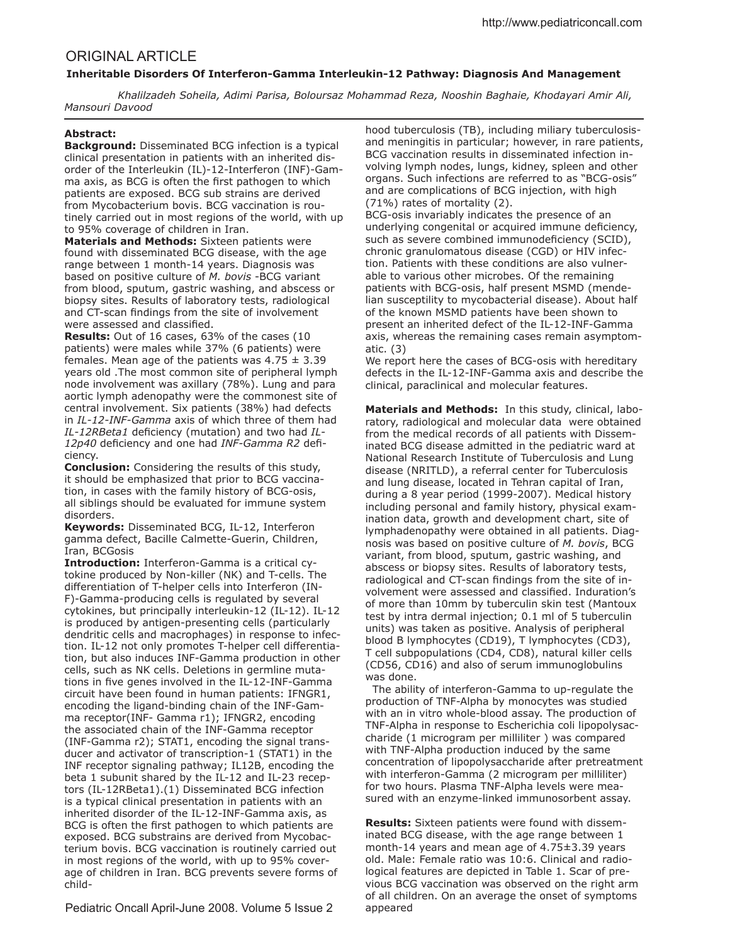# ORIGINAL ARTICLE

# **Inheritable Disorders Of Interferon-Gamma Interleukin-12 Pathway: Diagnosis And Management**

 *Khalilzadeh Soheila, Adimi Parisa, Boloursaz Mohammad Reza, Nooshin Baghaie, Khodayari Amir Ali, Mansouri Davood*

### **Abstract:**

**Background:** Disseminated BCG infection is a typical clinical presentation in patients with an inherited disorder of the Interleukin (IL)-12-Interferon (INF)-Gamma axis, as BCG is often the first pathogen to which patients are exposed. BCG sub strains are derived from Mycobacterium bovis. BCG vaccination is routinely carried out in most regions of the world, with up to 95% coverage of children in Iran.

**Materials and Methods:** Sixteen patients were found with disseminated BCG disease, with the age range between 1 month-14 years. Diagnosis was based on positive culture of *M. bovis* -BCG variant from blood, sputum, gastric washing, and abscess or biopsy sites. Results of laboratory tests, radiological and CT-scan findings from the site of involvement were assessed and classified.

**Results:** Out of 16 cases, 63% of the cases (10 patients) were males while 37% (6 patients) were females. Mean age of the patients was  $4.75 \pm 3.39$ years old .The most common site of peripheral lymph node involvement was axillary (78%). Lung and para aortic lymph adenopathy were the commonest site of central involvement. Six patients (38%) had defects in *IL-12-INF-Gamma* axis of which three of them had *IL-12RBeta1* deficiency (mutation) and two had *IL-*12p40 deficiency and one had *INF-Gamma R2* deficiency.

**Conclusion:** Considering the results of this study, it should be emphasized that prior to BCG vaccination, in cases with the family history of BCG-osis, all siblings should be evaluated for immune system disorders.

**Keywords:** Disseminated BCG, IL-12, Interferon gamma defect, Bacille Calmette-Guerin, Children, Iran, BCGosis

**Introduction:** Interferon-Gamma is a critical cytokine produced by Non-killer (NK) and T-cells. The diferentiation of T-helper cells into Interferon (IN-F)-Gamma-producing cells is regulated by several cytokines, but principally interleukin-12 (IL-12). IL-12 is produced by antigen-presenting cells (particularly dendritic cells and macrophages) in response to infection. IL-12 not only promotes T-helper cell diferentiation, but also induces INF-Gamma production in other cells, such as NK cells. Deletions in germline mutations in five genes involved in the IL-12-INF-Gamma circuit have been found in human patients: IFNGR1, encoding the ligand-binding chain of the INF-Gamma receptor(INF- Gamma r1); IFNGR2, encoding the associated chain of the INF-Gamma receptor (INF-Gamma r2); STAT1, encoding the signal transducer and activator of transcription-1 (STAT1) in the INF receptor signaling pathway; IL12B, encoding the beta 1 subunit shared by the IL-12 and IL-23 receptors (IL-12RBeta1).(1) Disseminated BCG infection is a typical clinical presentation in patients with an inherited disorder of the IL-12-INF-Gamma axis, as BCG is often the first pathogen to which patients are exposed. BCG substrains are derived from Mycobacterium bovis. BCG vaccination is routinely carried out in most regions of the world, with up to 95% coverage of children in Iran. BCG prevents severe forms of child-

Pediatric Oncall April-June 2008. Volume 5 Issue 2

hood tuberculosis (TB), including miliary tuberculosisand meningitis in particular; however, in rare patients, BCG vaccination results in disseminated infection involving lymph nodes, lungs, kidney, spleen and other organs. Such infections are referred to as "BCG-osis" and are complications of BCG injection, with high (71%) rates of mortality (2).

BCG-osis invariably indicates the presence of an underlying congenital or acquired immune deficiency, such as severe combined immunodeficiency (SCID), chronic granulomatous disease (CGD) or HIV infection. Patients with these conditions are also vulnerable to various other microbes. Of the remaining patients with BCG-osis, half present MSMD (mendelian susceptility to mycobacterial disease). About half of the known MSMD patients have been shown to present an inherited defect of the IL-12-INF-Gamma axis, whereas the remaining cases remain asymptomatic. (3)

We report here the cases of BCG-osis with hereditary defects in the IL-12-INF-Gamma axis and describe the clinical, paraclinical and molecular features.

**Materials and Methods:** In this study, clinical, laboratory, radiological and molecular data were obtained from the medical records of all patients with Disseminated BCG disease admitted in the pediatric ward at National Research Institute of Tuberculosis and Lung disease (NRITLD), a referral center for Tuberculosis and lung disease, located in Tehran capital of Iran, during a 8 year period (1999-2007). Medical history including personal and family history, physical examination data, growth and development chart, site of lymphadenopathy were obtained in all patients. Diagnosis was based on positive culture of *M. bovis*, BCG variant, from blood, sputum, gastric washing, and abscess or biopsy sites. Results of laboratory tests, radiological and CT-scan findings from the site of involvement were assessed and classified. Induration's of more than 10mm by tuberculin skin test (Mantoux test by intra dermal injection; 0.1 ml of 5 tuberculin units) was taken as positive. Analysis of peripheral blood B lymphocytes (CD19), T lymphocytes (CD3), T cell subpopulations (CD4, CD8), natural killer cells (CD56, CD16) and also of serum immunoglobulins was done.

 The ability of interferon-Gamma to up-regulate the production of TNF-Alpha by monocytes was studied with an in vitro whole-blood assay. The production of TNF-Alpha in response to Escherichia coli lipopolysaccharide (1 microgram per milliliter ) was compared with TNF-Alpha production induced by the same concentration of lipopolysaccharide after pretreatment with interferon-Gamma (2 microgram per milliliter) for two hours. Plasma TNF-Alpha levels were measured with an enzyme-linked immunosorbent assay.

**Results:** Sixteen patients were found with disseminated BCG disease, with the age range between 1 month-14 years and mean age of 4.75±3.39 years old. Male: Female ratio was 10:6. Clinical and radiological features are depicted in Table 1. Scar of previous BCG vaccination was observed on the right arm of all children. On an average the onset of symptoms appeared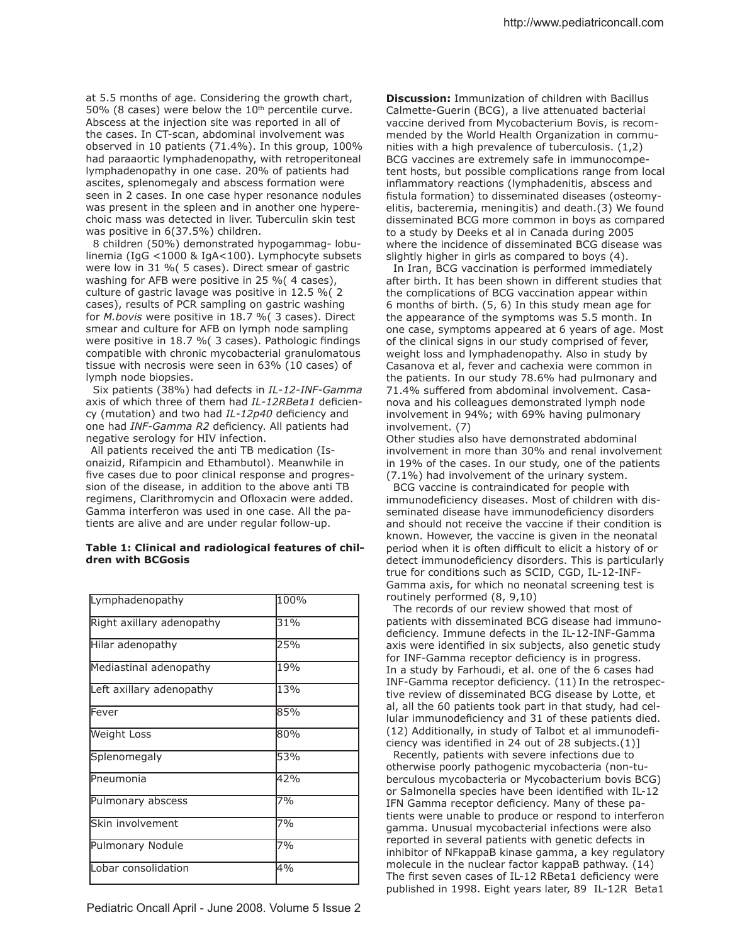at 5.5 months of age. Considering the growth chart, 50% (8 cases) were below the  $10<sup>th</sup>$  percentile curve. Abscess at the injection site was reported in all of the cases. In CT-scan, abdominal involvement was observed in 10 patients (71.4%). In this group, 100% had paraaortic lymphadenopathy, with retroperitoneal lymphadenopathy in one case. 20% of patients had ascites, splenomegaly and abscess formation were seen in 2 cases. In one case hyper resonance nodules was present in the spleen and in another one hyperechoic mass was detected in liver. Tuberculin skin test was positive in 6(37.5%) children.

 8 children (50%) demonstrated hypogammag- lobulinemia (IgG <1000 & IgA<100). Lymphocyte subsets were low in 31 %( 5 cases). Direct smear of gastric washing for AFB were positive in 25 %( 4 cases), culture of gastric lavage was positive in 12.5 %( 2 cases), results of PCR sampling on gastric washing for *M.bovis* were positive in 18.7 %( 3 cases). Direct smear and culture for AFB on lymph node sampling were positive in 18.7 % (3 cases). Pathologic findings compatible with chronic mycobacterial granulomatous tissue with necrosis were seen in 63% (10 cases) of lymph node biopsies.

 Six patients (38%) had defects in *IL-12-INF-Gamma* axis of which three of them had *IL-12RBeta1* deficiency (mutation) and two had *IL-12p40* deficiency and one had *INF-Gamma R2* deficiency. All patients had negative serology for HIV infection.

 All patients received the anti TB medication (Isonaizid, Rifampicin and Ethambutol). Meanwhile in five cases due to poor clinical response and progression of the disease, in addition to the above anti TB regimens, Clarithromycin and Ofloxacin were added. Gamma interferon was used in one case. All the patients are alive and are under regular follow-up.

## **Table 1: Clinical and radiological features of children with BCGosis**

| Lymphadenopathy           | 100% |
|---------------------------|------|
| Right axillary adenopathy | 31%  |
| Hilar adenopathy          | 25%  |
| Mediastinal adenopathy    | 19%  |
| Left axillary adenopathy  | 13%  |
| lFever                    | 85%  |
| <b>Weight Loss</b>        | 80%  |
| Splenomegaly              | 53%  |
| Pneumonia                 | 42%  |
| Pulmonary abscess         | 7%   |
| Skin involvement          | 7%   |
| Pulmonary Nodule          | 7%   |
| Lobar consolidation       | 4%   |

**Discussion:** Immunization of children with Bacillus Calmette-Guerin (BCG), a live attenuated bacterial vaccine derived from Mycobacterium Bovis, is recommended by the World Health Organization in communities with a high prevalence of tuberculosis. (1,2) BCG vaccines are extremely safe in immunocompetent hosts, but possible complications range from local inflammatory reactions (lymphadenitis, abscess and fistula formation) to disseminated diseases (osteomyelitis, bacteremia, meningitis) and death.(3) We found disseminated BCG more common in boys as compared to a study by Deeks et al in Canada during 2005 where the incidence of disseminated BCG disease was slightly higher in girls as compared to boys (4).

 In Iran, BCG vaccination is performed immediately after birth. It has been shown in diferent studies that the complications of BCG vaccination appear within 6 months of birth. (5, 6) In this study mean age for the appearance of the symptoms was 5.5 month. In one case, symptoms appeared at 6 years of age. Most of the clinical signs in our study comprised of fever, weight loss and lymphadenopathy. Also in study by Casanova et al, fever and cachexia were common in the patients. In our study 78.6% had pulmonary and 71.4% sufered from abdominal involvement. Casanova and his colleagues demonstrated lymph node involvement in 94%; with 69% having pulmonary involvement. (7)

Other studies also have demonstrated abdominal involvement in more than 30% and renal involvement in 19% of the cases. In our study, one of the patients (7.1%) had involvement of the urinary system.

 BCG vaccine is contraindicated for people with immunodeficiency diseases. Most of children with disseminated disease have immunodeficiency disorders and should not receive the vaccine if their condition is known. However, the vaccine is given in the neonatal period when it is often difficult to elicit a history of or detect immunodeficiency disorders. This is particularly true for conditions such as SCID, CGD, IL-12-INF-Gamma axis, for which no neonatal screening test is routinely performed (8, 9,10)

 The records of our review showed that most of patients with disseminated BCG disease had immunodeficiency. Immune defects in the IL-12-INF-Gamma axis were identified in six subjects, also genetic study for INF-Gamma receptor deficiency is in progress. In a study by Farhoudi, et al. one of the 6 cases had INF-Gamma receptor deficiency. (11) In the retrospective review of disseminated BCG disease by Lotte, et al, all the 60 patients took part in that study, had cellular immunodeficiency and 31 of these patients died. (12) Additionally, in study of Talbot et al immunodeiciency was identified in 24 out of 28 subjects. $(1)$ ]

 Recently, patients with severe infections due to otherwise poorly pathogenic mycobacteria (non-tuberculous mycobacteria or Mycobacterium bovis BCG) or Salmonella species have been identified with IL-12 IFN Gamma receptor deficiency. Many of these patients were unable to produce or respond to interferon gamma. Unusual mycobacterial infections were also reported in several patients with genetic defects in inhibitor of NFkappaB kinase gamma, a key regulatory molecule in the nuclear factor kappaB pathway. (14) The first seven cases of IL-12 RBeta1 deficiency were published in 1998. Eight years later, 89 IL-12R Beta1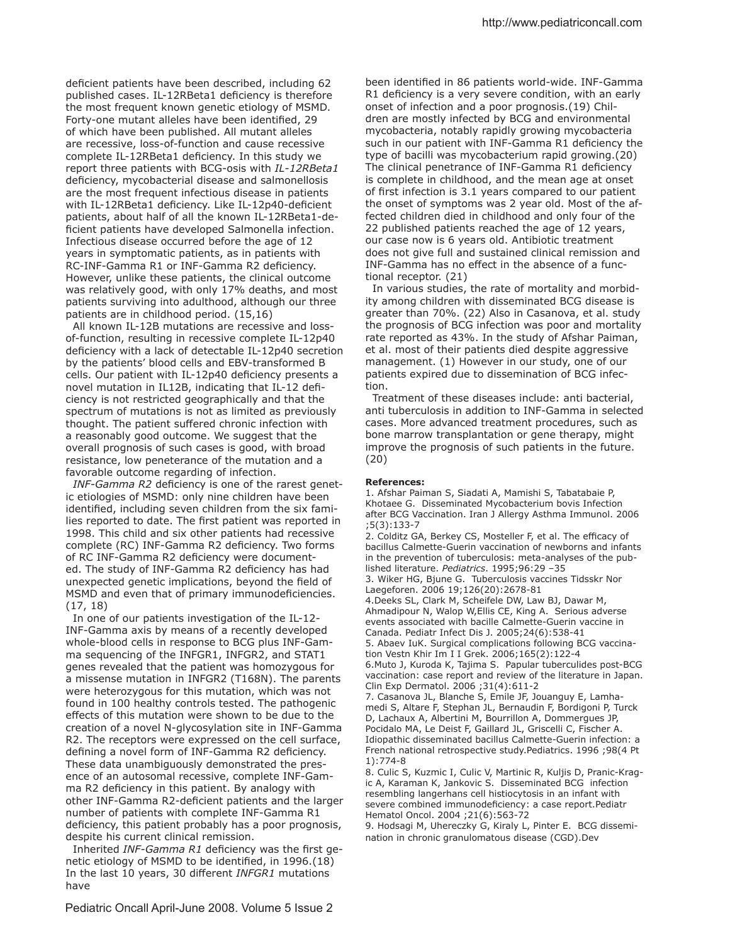deficient patients have been described, including 62 published cases. IL-12RBeta1 deficiency is therefore the most frequent known genetic etiology of MSMD. Forty-one mutant alleles have been identified, 29 of which have been published. All mutant alleles are recessive, loss-of-function and cause recessive complete IL-12RBeta1 deficiency. In this study we report three patients with BCG-osis with *IL-12RBeta1* deficiency, mycobacterial disease and salmonellosis are the most frequent infectious disease in patients with IL-12RBeta1 deficiency. Like IL-12p40-deficient patients, about half of all the known IL-12RBeta1-deficient patients have developed Salmonella infection. Infectious disease occurred before the age of 12 years in symptomatic patients, as in patients with RC-INF-Gamma R1 or INF-Gamma R2 deficiency. However, unlike these patients, the clinical outcome was relatively good, with only 17% deaths, and most patients surviving into adulthood, although our three patients are in childhood period. (15,16)

 All known IL-12B mutations are recessive and lossof-function, resulting in recessive complete IL-12p40 deficiency with a lack of detectable IL-12p40 secretion by the patients' blood cells and EBV-transformed B cells. Our patient with IL-12p40 deficiency presents a novel mutation in IL12B, indicating that IL-12 deficiency is not restricted geographically and that the spectrum of mutations is not as limited as previously thought. The patient suffered chronic infection with a reasonably good outcome. We suggest that the overall prognosis of such cases is good, with broad resistance, low peneterance of the mutation and a favorable outcome regarding of infection.

*INF-Gamma R2* deficiency is one of the rarest genetic etiologies of MSMD: only nine children have been identified, including seven children from the six families reported to date. The first patient was reported in 1998. This child and six other patients had recessive complete (RC) INF-Gamma R2 deficiency. Two forms of RC INF-Gamma R2 deficiency were documented. The study of INF-Gamma R2 deficiency has had unexpected genetic implications, beyond the field of MSMD and even that of primary immunodeficiencies. (17, 18)

 In one of our patients investigation of the IL-12- INF-Gamma axis by means of a recently developed whole-blood cells in response to BCG plus INF-Gamma sequencing of the INFGR1, INFGR2, and STAT1 genes revealed that the patient was homozygous for a missense mutation in INFGR2 (T168N). The parents were heterozygous for this mutation, which was not found in 100 healthy controls tested. The pathogenic efects of this mutation were shown to be due to the creation of a novel N-glycosylation site in INF-Gamma R2. The receptors were expressed on the cell surface, defining a novel form of INF-Gamma R2 deficiency. These data unambiguously demonstrated the presence of an autosomal recessive, complete INF-Gamma R2 deficiency in this patient. By analogy with other INF-Gamma R2-deficient patients and the larger number of patients with complete INF-Gamma R1 deficiency, this patient probably has a poor prognosis, despite his current clinical remission.

Inherited *INF-Gamma R1* deficiency was the first genetic etiology of MSMD to be identified, in 1996.(18) In the last 10 years, 30 diferent *INFGR1* mutations have

been identified in 86 patients world-wide. INF-Gamma R1 deficiency is a very severe condition, with an early onset of infection and a poor prognosis.(19) Children are mostly infected by BCG and environmental mycobacteria, notably rapidly growing mycobacteria such in our patient with INF-Gamma R1 deficiency the type of bacilli was mycobacterium rapid growing.(20) The clinical penetrance of INF-Gamma R1 deficiency is complete in childhood, and the mean age at onset of first infection is 3.1 years compared to our patient the onset of symptoms was 2 year old. Most of the affected children died in childhood and only four of the 22 published patients reached the age of 12 years, our case now is 6 years old. Antibiotic treatment does not give full and sustained clinical remission and INF-Gamma has no efect in the absence of a functional receptor. (21)

 In various studies, the rate of mortality and morbidity among children with disseminated BCG disease is greater than 70%. (22) Also in Casanova, et al. study the prognosis of BCG infection was poor and mortality rate reported as 43%. In the study of Afshar Paiman, et al. most of their patients died despite aggressive management. (1) However in our study, one of our patients expired due to dissemination of BCG infection.

 Treatment of these diseases include: anti bacterial, anti tuberculosis in addition to INF-Gamma in selected cases. More advanced treatment procedures, such as bone marrow transplantation or gene therapy, might improve the prognosis of such patients in the future. (20)

#### **References:**

1. Afshar Paiman S, Siadati A, Mamishi S, Tabatabaie P, Khotaee G. Disseminated Mycobacterium bovis Infection after BCG Vaccination. Iran J Allergy Asthma Immunol. 2006 ;5(3):133-7

2. Colditz GA, Berkey CS, Mosteller F, et al. The efficacy of bacillus Calmette-Guerin vaccination of newborns and infants in the prevention of tuberculosis: meta-analyses of the published literature. *Pediatrics*. 1995;96:29 –35

3. Wiker HG, Bjune G. Tuberculosis vaccines Tidsskr Nor Laegeforen. 2006 19;126(20):2678-81

4.Deeks SL, Clark M, Scheifele DW, Law BJ, Dawar M, Ahmadipour N, Walop W,Ellis CE, King A. Serious adverse events associated with bacille Calmette-Guerin vaccine in Canada. Pediatr Infect Dis J. 2005;24(6):538-41

5. Abaev IuK. Surgical complications following BCG vaccination Vestn Khir Im I I Grek. 2006;165(2):122-4

6.Muto J, Kuroda K, Tajima S. Papular tuberculides post-BCG vaccination: case report and review of the literature in Japan. Clin Exp Dermatol. 2006 ;31(4):611-2

7. Casanova JL, Blanche S, Emile JF, Jouanguy E, Lamhamedi S, Altare F, Stephan JL, Bernaudin F, Bordigoni P, Turck D, Lachaux A, Albertini M, Bourrillon A, Dommergues JP, Pocidalo MA, Le Deist F, Gaillard JL, Griscelli C, Fischer A. Idiopathic disseminated bacillus Calmette-Guerin infection: a French national retrospective study.Pediatrics. 1996 ;98(4 Pt 1):774-8

8. Culic S, Kuzmic I, Culic V, Martinic R, Kuljis D, Pranic-Kragic A, Karaman K, Jankovic S. Disseminated BCG infection resembling langerhans cell histiocytosis in an infant with severe combined immunodeficiency: a case report.Pediatr Hematol Oncol. 2004 ;21(6):563-72

9. Hodsagi M, Uhereczky G, Kiraly L, Pinter E. BCG dissemination in chronic granulomatous disease (CGD).Dev